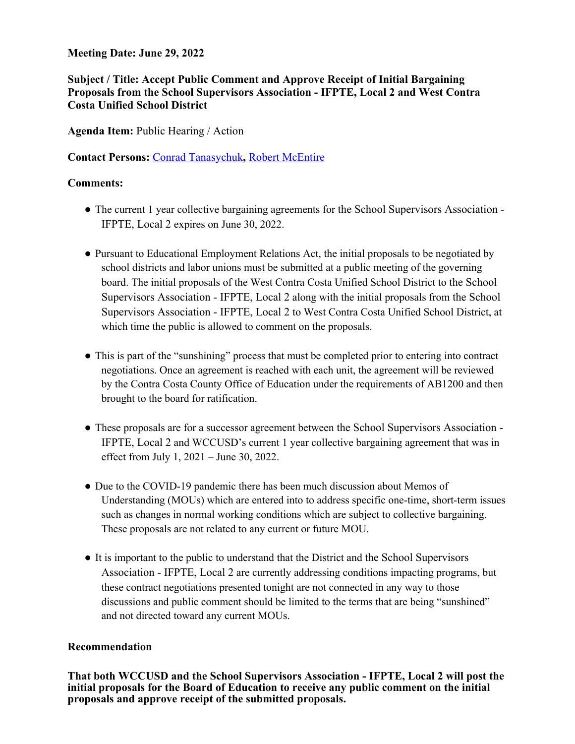#### **Meeting Date: June 29, 2022**

### **Subject / Title: Accept Public Comment and Approve Receipt of Initial Bargaining Proposals from the School Supervisors Association - IFPTE, Local 2 and West Contra Costa Unified School District**

**Agenda Item:** Public Hearing / Action

**Contact Persons:** Conrad Tanasychuk**,** Robert McEntire

#### **Comments:**

- The current 1 year collective bargaining agreements for the School Supervisors Association -IFPTE, Local 2 expires on June 30, 2022.
- Pursuant to Educational Employment Relations Act, the initial proposals to be negotiated by school districts and labor unions must be submitted at a public meeting of the governing board. The initial proposals of the West Contra Costa Unified School District to the School Supervisors Association - IFPTE, Local 2 along with the initial proposals from the School Supervisors Association - IFPTE, Local 2 to West Contra Costa Unified School District, at which time the public is allowed to comment on the proposals.
- This is part of the "sunshining" process that must be completed prior to entering into contract negotiations. Once an agreement is reached with each unit, the agreement will be reviewed by the Contra Costa County Office of Education under the requirements of AB1200 and then brought to the board for ratification.
- These proposals are for a successor agreement between the School Supervisors Association IFPTE, Local 2 and WCCUSD's current 1 year collective bargaining agreement that was in effect from July 1, 2021 – June 30, 2022.
- Due to the COVID-19 pandemic there has been much discussion about Memos of Understanding (MOUs) which are entered into to address specific one-time, short-term issues such as changes in normal working conditions which are subject to collective bargaining. These proposals are not related to any current or future MOU.
- It is important to the public to understand that the District and the School Supervisors Association - IFPTE, Local 2 are currently addressing conditions impacting programs, but these contract negotiations presented tonight are not connected in any way to those discussions and public comment should be limited to the terms that are being "sunshined" and not directed toward any current MOUs.

#### **Recommendation**

**That both WCCUSD and the School Supervisors Association - IFPTE, Local 2 will post the initial proposals for the Board of Education to receive any public comment on the initial proposals and approve receipt of the submitted proposals.**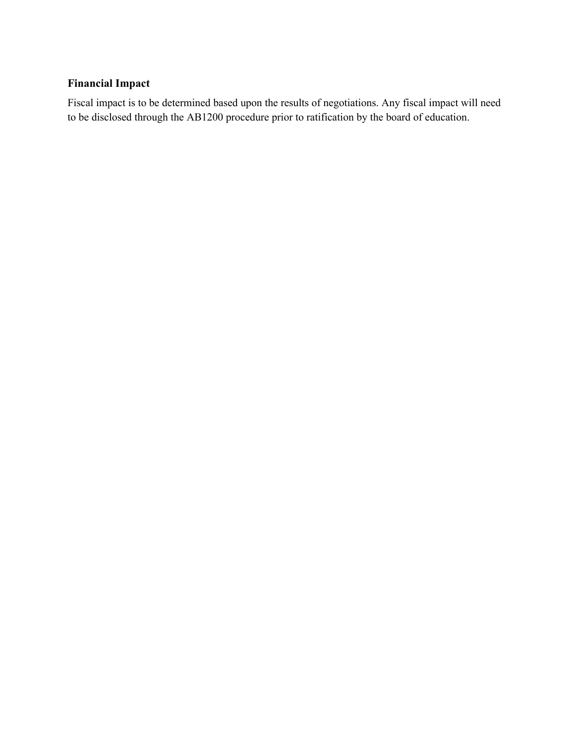## **Financial Impact**

Fiscal impact is to be determined based upon the results of negotiations. Any fiscal impact will need to be disclosed through the AB1200 procedure prior to ratification by the board of education.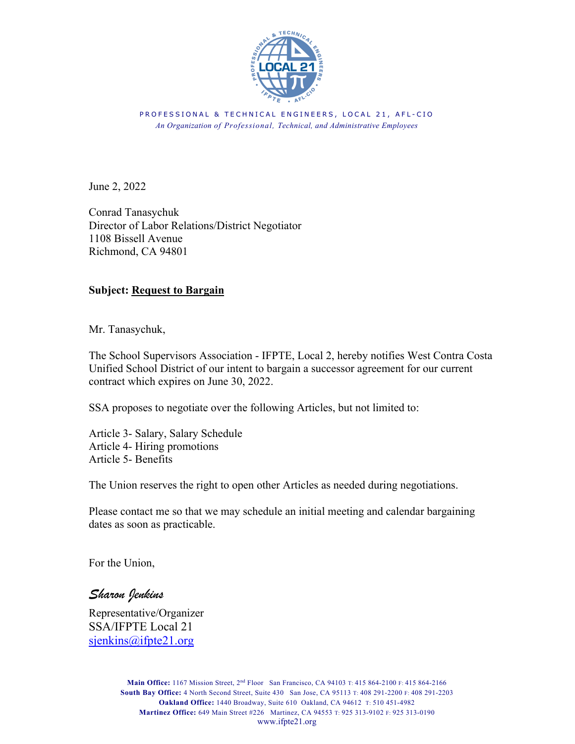

PROFESSIONAL & TECHNICAL ENGINEERS, LOCAL 21, AFL-CIO *An Organization of Professional, Technical, and Administrative Employees*

June 2, 2022

Conrad Tanasychuk Director of Labor Relations/District Negotiator 1108 Bissell Avenue Richmond, CA 94801

#### **Subject: Request to Bargain**

Mr. Tanasychuk,

The School Supervisors Association - IFPTE, Local 2, hereby notifies West Contra Costa Unified School District of our intent to bargain a successor agreement for our current contract which expires on June 30, 2022.

SSA proposes to negotiate over the following Articles, but not limited to:

Article 3- Salary, Salary Schedule Article 4- Hiring promotions Article 5- Benefits

The Union reserves the right to open other Articles as needed during negotiations.

Please contact me so that we may schedule an initial meeting and calendar bargaining dates as soon as practicable.

For the Union,

*Sharon Jenkins*

Representative/Organizer SSA/IFPTE Local 21 sjenkins@ifpte21.org